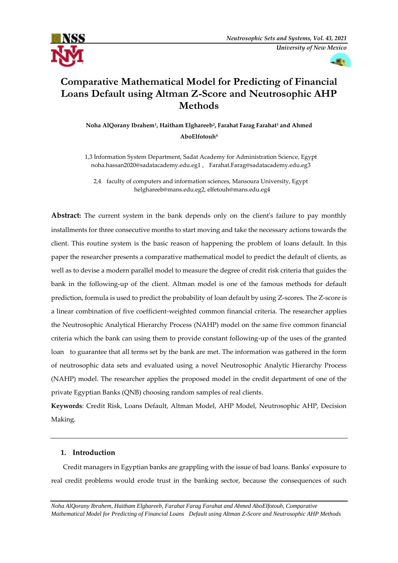



# **Comparative Mathematical Model for Predicting of Financial Loans Default using Altman Z-Score and Neutrosophic AHP Methods**

**Noha AlQorany Ibrahem<sup>1</sup> , Haitham Elghareeb<sup>2</sup> , Farahat Farag Farahat<sup>3</sup> and Ahmed AboElfotouh<sup>4</sup>**

1,3 Information System Department, Sadat Academy for Administration Science, Egypt [noha.hassan2020@sadatacademy.edu.eg1](mailto:noha.hassan2020@sadatacademy.edu.eg1) , [Farahat.Farag@sadatacademy.edu.eg3](mailto:Farahat.Farag@sadatacademy.edu.eg)

2,4 faculty of computers and information sciences, Mansoura University, Egypt helghareeb@mans.edu.eg2, elfetouh@mans.edu.eg4

**Abstract:** The current system in the bank depends only on the client's failure to pay monthly installments for three consecutive months to start moving and take the necessary actions towards the client. This routine system is the basic reason of happening the problem of loans default. In this paper the researcher presents a comparative mathematical model to predict the default of clients, as well as to devise a modern parallel model to measure the degree of credit risk criteria that guides the bank in the following-up of the client. Altman model is one of the famous methods for default prediction, formula is used to predict the probability of loan default by using Z-scores. The Z-score is a linear combination of five coefficient-weighted common financial criteria. The researcher applies the Neutrosophic Analytical Hierarchy Process (NAHP) model on the same five common financial criteria which the bank can using them to provide constant following-up of the uses of the granted loan to guarantee that all terms set by the bank are met. The information was gathered in the form of neutrosophic data sets and evaluated using a novel Neutrosophic Analytic Hierarchy Process (NAHP) model. The researcher applies the proposed model in the credit department of one of the private Egyptian Banks (QNB) choosing random samples of real clients.

**Keywords**: Credit Risk, Loans Default, Altman Model, AHP Model, Neutrosophic AHP, Decision Making.

## **1. Introduction**

 Credit managers in Egyptian banks are grappling with the issue of bad loans. Banks' exposure to real credit problems would erode trust in the banking sector, because the consequences of such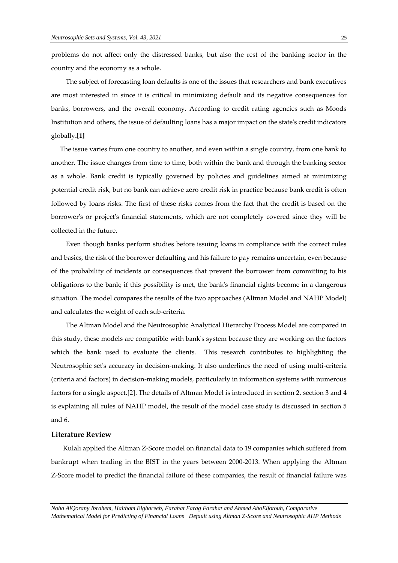problems do not affect only the distressed banks, but also the rest of the banking sector in the country and the economy as a whole.

 The subject of forecasting loan defaults is one of the issues that researchers and bank executives are most interested in since it is critical in minimizing default and its negative consequences for banks, borrowers, and the overall economy. According to credit rating agencies such as Moods Institution and others, the issue of defaulting loans has a major impact on the state's credit indicators globally**.[1]**

 The issue varies from one country to another, and even within a single country, from one bank to another. The issue changes from time to time, both within the bank and through the banking sector as a whole. Bank credit is typically governed by policies and guidelines aimed at minimizing potential credit risk, but no bank can achieve zero credit risk in practice because bank credit is often followed by loans risks. The first of these risks comes from the fact that the credit is based on the borrower's or project's financial statements, which are not completely covered since they will be collected in the future.

 Even though banks perform studies before issuing loans in compliance with the correct rules and basics, the risk of the borrower defaulting and his failure to pay remains uncertain, even because of the probability of incidents or consequences that prevent the borrower from committing to his obligations to the bank; if this possibility is met, the bank's financial rights become in a dangerous situation. The model compares the results of the two approaches (Altman Model and NAHP Model) and calculates the weight of each sub-criteria.

 The Altman Model and the Neutrosophic Analytical Hierarchy Process Model are compared in this study, these models are compatible with bank's system because they are working on the factors which the bank used to evaluate the clients. This research contributes to highlighting the Neutrosophic set's accuracy in decision-making. It also underlines the need of using multi-criteria (criteria and factors) in decision-making models, particularly in information systems with numerous factors for a single aspect.[2]. The details of Altman Model is introduced in section 2, section 3 and 4 is explaining all rules of NAHP model, the result of the model case study is discussed in section 5 and 6.

#### **Literature Review**

 Kulalı applied the Altman Z-Score model on financial data to 19 companies which suffered from bankrupt when trading in the BIST in the years between 2000-2013. When applying the Altman Z-Score model to predict the financial failure of these companies, the result of financial failure was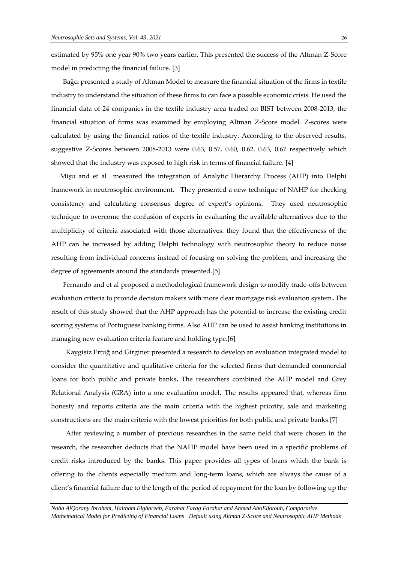estimated by 95% one year 90% two years earlier. This presented the success of the Altman Z-Score model in predicting the financial failure. [3]

 Bağcı presented a study of Altman Model to measure the financial situation of the firms in textile industry to understand the situation of these firms to can face a possible economic crisis. He used the financial data of 24 companies in the textile industry area traded on BIST between 2008-2013, the financial situation of firms was examined by employing Altman Z-Score model. Z-scores were calculated by using the financial ratios of the textile industry. According to the observed results, suggestive Z-Scores between 2008-2013 were 0.63, 0.57, 0.60, 0.62, 0.63, 0.67 respectively which showed that the industry was exposed to high risk in terms of financial failure. [4]

Mişu and et al measured the integration of Analytic Hierarchy Process (AHP) into Delphi framework in neutrosophic environment. They presented a new technique of NAHP for checking consistency and calculating consensus degree of expert's opinions. They used neutrosophic technique to overcome the confusion of experts in evaluating the available alternatives due to the multiplicity of criteria associated with those alternatives. they found that the effectiveness of the AHP can be increased by adding Delphi technology with neutrosophic theory to reduce noise resulting from individual concerns instead of focusing on solving the problem, and increasing the degree of agreements around the standards presented.[5]

 Fernando and et al proposed a methodological framework design to modify trade-offs between evaluation criteria to provide decision makers with more clear mortgage risk evaluation system**.** The result of this study showed that the AHP approach has the potential to increase the existing credit scoring systems of Portuguese banking firms. Also AHP can be used to assist banking institutions in managing new evaluation criteria feature and holding type.[6]

 Kaygisiz Ertuğ and Girginer presented a research to develop an evaluation integrated model to consider the quantitative and qualitative criteria for the selected firms that demanded commercial loans for both public and private banks**.** The researchers combined the AHP model and Grey Relational Analysis (GRA) into a one evaluation model**.** The results appeared that, whereas firm honesty and reports criteria are the main criteria with the highest priority, sale and marketing constructions are the main criteria with the lowest priorities for both public and private banks.[7]

 After reviewing a number of previous researches in the same field that were chosen in the research, the researcher deducts that the NAHP model have been used in a specific problems of credit risks introduced by the banks. This paper provides all types of loans which the bank is offering to the clients especially medium and long-term loans, which are always the cause of a client's financial failure due to the length of the period of repayment for the loan by following up the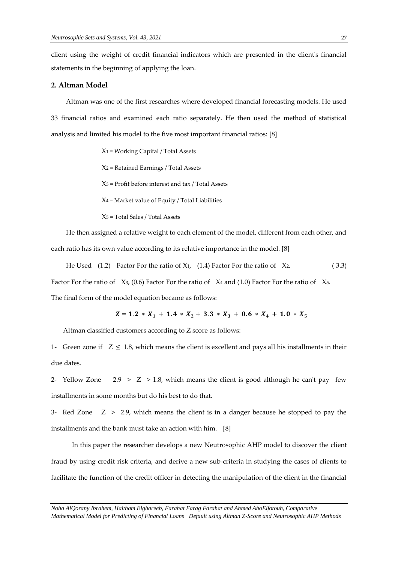client using the weight of credit financial indicators which are presented in the client's financial statements in the beginning of applying the loan.

## **2. Altman Model**

 Altman was one of the first researches where developed financial forecasting models. He used 33 financial ratios and examined each ratio separately. He then used the method of statistical analysis and limited his model to the five most important financial ratios: [8]

- X1 = Working Capital / Total Assets
- X<sup>2</sup> = Retained Earnings / Total Assets
- $X_3$  = Profit before interest and tax / Total Assets
- $X_4$  = Market value of Equity / Total Liabilities
- X<sup>5</sup> = Total Sales / Total Assets

 He then assigned a relative weight to each element of the model, different from each other, and each ratio has its own value according to its relative importance in the model. [8]

He Used  $(1.2)$  Factor For the ratio of X1,  $(1.4)$  Factor For the ratio of X2,  $(3.3)$ Factor For the ratio of  $X_3$ , (0.6) Factor For the ratio of  $X_4$  and (1.0) Factor For the ratio of  $X_5$ . The final form of the model equation became as follows:

$$
Z = 1.2 \times X_1 + 1.4 \times X_2 + 3.3 \times X_3 + 0.6 \times X_4 + 1.0 \times X_5
$$

Altman classified customers according to Z score as follows:

1- Green zone if  $Z \leq 1.8$ , which means the client is excellent and pays all his installments in their due dates.

2- Yellow Zone 2.9 >  $Z > 1.8$ , which means the client is good although he can't pay few installments in some months but do his best to do that.

3- Red Zone  $Z > 2.9$ , which means the client is in a danger because he stopped to pay the installments and the bank must take an action with him. [8]

 In this paper the researcher develops a new Neutrosophic AHP model to discover the client fraud by using credit risk criteria, and derive a new sub-criteria in studying the cases of clients to facilitate the function of the credit officer in detecting the manipulation of the client in the financial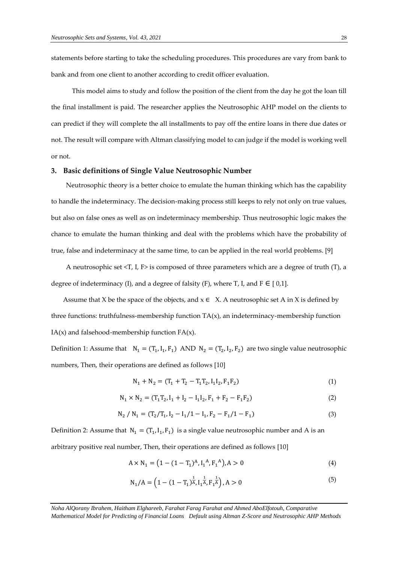statements before starting to take the scheduling procedures. This procedures are vary from bank to bank and from one client to another according to credit officer evaluation.

 This model aims to study and follow the position of the client from the day he got the loan till the final installment is paid. The researcher applies the Neutrosophic AHP model on the clients to can predict if they will complete the all installments to pay off the entire loans in there due dates or not. The result will compare with Altman classifying model to can judge if the model is working well or not.

#### **3. Basic definitions of Single Value Neutrosophic Number**

 Neutrosophic theory is a better choice to emulate the human thinking which has the capability to handle the indeterminacy. The decision-making process still keeps to rely not only on true values, but also on false ones as well as on indeterminacy membership. Thus neutrosophic logic makes the chance to emulate the human thinking and deal with the problems which have the probability of true, false and indeterminacy at the same time, to can be applied in the real world problems. [9]

 A neutrosophic set <T, I, F> is composed of three parameters which are a degree of truth (T), a degree of indeterminacy (I), and a degree of falsity (F), where T, I, and F  $\in$  [0,1].

Assume that X be the space of the objects, and  $x \in X$ . A neutrosophic set A in X is defined by three functions: truthfulness-membership function  $TA(x)$ , an indeterminacy-membership function  $IA(x)$  and falsehood-membership function  $FA(x)$ .

Definition 1: Assume that  $N_1 = (T_1, I_1, F_1)$  AND  $N_2 = (T_2, I_2, F_2)$  are two single value neutrosophic numbers, Then, their operations are defined as follows [10]

$$
N_1 + N_2 = (T_1 + T_2 - T_1 T_2, I_1 I_2, F_1 F_2)
$$
\n(1)

$$
N_1 \times N_2 = (T_1 T_2, I_1 + I_2 - I_1 I_2, F_1 + F_2 - F_1 F_2)
$$
\n(2)

$$
N_2 / N_1 = (T_2 / T_1, I_2 - I_1 / 1 - I_1, F_2 - F_1 / 1 - F_1)
$$
\n(3)

Definition 2: Assume that  $N_1 = (T_1, I_1, F_1)$  is a single value neutrosophic number and A is an arbitrary positive real number, Then, their operations are defined as follows [10]

$$
A \times N_1 = (1 - (1 - T_1)^A, I_1^A, F_1^A), A > 0
$$
\n(4)

$$
N_1/A = \left(1 - (1 - T_1)^{\frac{1}{A}}, I_1^{\frac{1}{A}}, F_1^{\frac{1}{A}}\right), A > 0
$$
\n<sup>(5)</sup>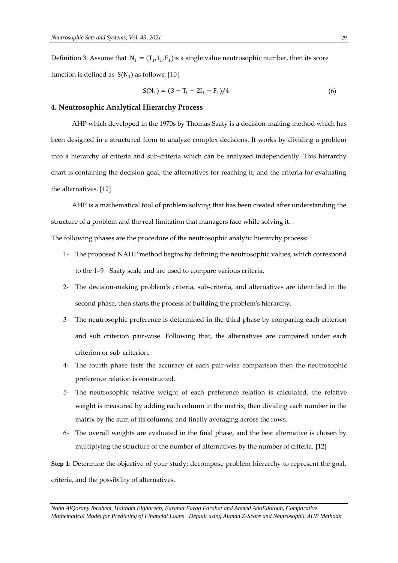Definition 3: Assume that  $N_1 = (T_1, I_1, F_1)$  is a single value neutrosophic number, then its score function is defined as  $S(N_1)$  as follows: [10]

$$
S(N_1) = (3 + T_1 - 2I_1 - F_1)/4
$$
\n(6)

#### **4. Neutrosophic Analytical Hierarchy Process**

 AHP which developed in the 1970s by Thomas Saaty is a decision-making method which has been designed in a structured form to analyze complex decisions. It works by dividing a problem into a hierarchy of criteria and sub-criteria which can be analyzed independently. This hierarchy chart is containing the decision goal, the alternatives for reaching it, and the criteria for evaluating the alternatives. [12]

 AHP is a mathematical tool of problem solving that has been created after understanding the structure of a problem and the real limitation that managers face while solving it. .

The following phases are the procedure of the neutrosophic analytic hierarchy process:

- 1- The proposed NAHP method begins by defining the neutrosophic values, which correspond to the 1–9 Saaty scale and are used to compare various criteria.
- 2- The decision-making problem's criteria, sub-criteria, and alternatives are identified in the second phase, then starts the process of building the problem's hierarchy.
- 3- The neutrosophic preference is determined in the third phase by comparing each criterion and sub criterion pair-wise. Following that, the alternatives are compared under each criterion or sub-criterion.
- 4- The fourth phase tests the accuracy of each pair-wise comparison then the neutrosophic preference relation is constructed.
- 5- The neutrosophic relative weight of each preference relation is calculated, the relative weight is measured by adding each column in the matrix, then dividing each number in the matrix by the sum of its columns, and finally averaging across the rows.
- 6- The overall weights are evaluated in the final phase, and the best alternative is chosen by multiplying the structure of the number of alternatives by the number of criteria. [12]

**Step 1**: Determine the objective of your study; decompose problem hierarchy to represent the goal, criteria, and the possibility of alternatives.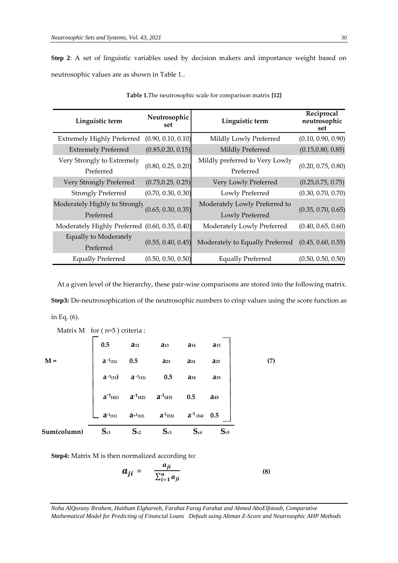**Step 2**: A set of linguistic variables used by decision makers and importance weight based on neutrosophic values are as shown in Table 1..

| Linguistic term                                | Neutrosophic<br>set | Linguistic term                                    | Reciprocal<br>neutrosophic<br>set |
|------------------------------------------------|---------------------|----------------------------------------------------|-----------------------------------|
| <b>Extremely Highly Preferred</b>              | (0.90, 0.10, 0.10)  | Mildly Lowly Preferred                             | (0.10, 0.90, 0.90)                |
| <b>Extremely Preferred</b>                     | (0.85, 0.20, 0.15)  | Mildly Preferred                                   | (0.15, 0.80, 0.85)                |
| Very Strongly to Extremely<br>Preferred        | (0.80, 0.25, 0.20)  | Mildly preferred to Very Lowly<br>Preferred        | (0.20, 0.75, 0.80)                |
| Very Strongly Preferred                        | (0.75, 0.25, 0.25)  | Very Lowly Preferred                               | (0.25, 0.75, 0.75)                |
| <b>Strongly Preferred</b>                      | (0.70, 0.30, 0.30)  | Lowly Preferred                                    | (0.30, 0.70, 0.70)                |
| Moderately Highly to Strongly<br>Preferred     | (0.65, 0.30, 0.35)  | Moderately Lowly Preferred to<br>Lowly Preferred   | (0.35, 0.70, 0.65)                |
| Moderately Highly Preferred (0.60, 0.35, 0.40) |                     | Moderately Lowly Preferred                         | (0.40, 0.65, 0.60)                |
| <b>Equally to Moderately</b><br>Preferred      | (0.55, 0.40, 0.45)  | Moderately to Equally Preferred (0.45, 0.60, 0.55) |                                   |
| <b>Equally Preferred</b>                       | (0.50, 0.50, 0.50)  | <b>Equally Preferred</b>                           | (0.50, 0.50, 0.50)                |

**Table 1.**The neutrosophic scale for comparison matrix **[12]**

 At a given level of the hierarchy, these pair-wise comparisons are stored into the following matrix. **Step3:** De-neutrosophication of the neutrosophic numbers to crisp values using the score function as in Eq. (6).

|             | $\overline{\phantom{a}}$                                                                          |          |                                                                                                                                                                                                                |          |          |     |
|-------------|---------------------------------------------------------------------------------------------------|----------|----------------------------------------------------------------------------------------------------------------------------------------------------------------------------------------------------------------|----------|----------|-----|
|             | 0.5                                                                                               | $a_{12}$ | $a_{13}$                                                                                                                                                                                                       | $a_{14}$ | $a_{15}$ |     |
| $M =$       | <b>a</b> <sup>-1</sup> (21) <b>0.5</b><br><b>a</b> <sup>-1</sup> (31) <b>a</b> <sup>-1</sup> (32) |          | $a_{23}$                                                                                                                                                                                                       | $a_{24}$ | $a_{25}$ | (7) |
|             |                                                                                                   |          | 0.5                                                                                                                                                                                                            | $a_{34}$ | $a_{35}$ |     |
|             |                                                                                                   |          | <b>a<sup>-1</sup>(41) <b>a</b><sup>-1</sup>(42) <b>a</b><sup>-1</sup>(43) 0.5 <b>a</b>45<br/><b>a a</b><sup>-1</sup>(51) <b>a</b><sup>-1</sup>(52) <b>a</b><sup>-1</sup>(53) <b>a</b><sup>-1</sup>(54) 0.5</b> |          |          |     |
|             |                                                                                                   |          |                                                                                                                                                                                                                |          |          |     |
| Sum(column) | $S_{c1}$                                                                                          | $S_{c2}$ | $S_{c3}$                                                                                                                                                                                                       | $S_{c4}$ | $S_{c5}$ |     |

Matrix M for (n=5) criteria :

**Step4:** Matrix M is then normalized according to:

$$
a_{ji} = \frac{a_{ji}}{\sum_{i=1}^{n} a_{ji}} \tag{8}
$$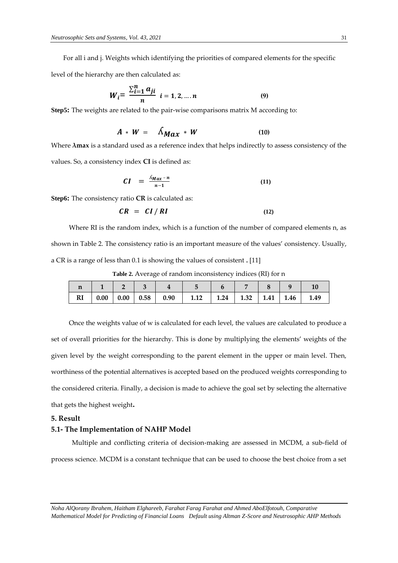For all i and j. Weights which identifying the priorities of compared elements for the specific

level of the hierarchy are then calculated as:

$$
W_{i} = \frac{\sum_{i=1}^{n} a_{ji}}{n} \quad i = 1, 2, ..., n \tag{9}
$$

**Step5:** The weights are related to the pair-wise comparisons matrix M according to:

$$
A * W = \Lambda_{\mathbf{M} \mathbf{a} \mathbf{x}} * W \tag{10}
$$

Where **λmax** is a standard used as a reference index that helps indirectly to assess consistency of the values. So, a consistency index **CI** is defined as:

$$
CI = \frac{\Delta_{Max} - n}{n - 1} \tag{11}
$$

**Step6:** The consistency ratio **CR** is calculated as:

$$
CR = CI/RI \tag{12}
$$

 Where RI is the random index, which is a function of the number of compared elements n, as shown in Table 2. The consistency ratio is an important measure of the values' consistency. Usually, a CR is a range of less than 0.1 is showing the values of consistent **.** [11]

**Table 2.** Average of random inconsistency indices (RI) for n

| п  |  |  |                                                                                                                 |  |  |  |
|----|--|--|-----------------------------------------------------------------------------------------------------------------|--|--|--|
| RI |  |  | $\vert 0.00 \vert 0.00 \vert 0.58 \vert 0.90 \vert 1.12 \vert 1.24 \vert 1.32 \vert 1.41 \vert 1.46 \vert 1.49$ |  |  |  |

 Once the weights value of w is calculated for each level, the values are calculated to produce a set of overall priorities for the hierarchy. This is done by multiplying the elements' weights of the given level by the weight corresponding to the parent element in the upper or main level. Then, worthiness of the potential alternatives is accepted based on the produced weights corresponding to the considered criteria. Finally, a decision is made to achieve the goal set by selecting the alternative that gets the highest weight**.**

#### **5. Result**

## **5.1- The Implementation of NAHP Model**

 Multiple and conflicting criteria of decision-making are assessed in MCDM, a sub-field of process science. MCDM is a constant technique that can be used to choose the best choice from a set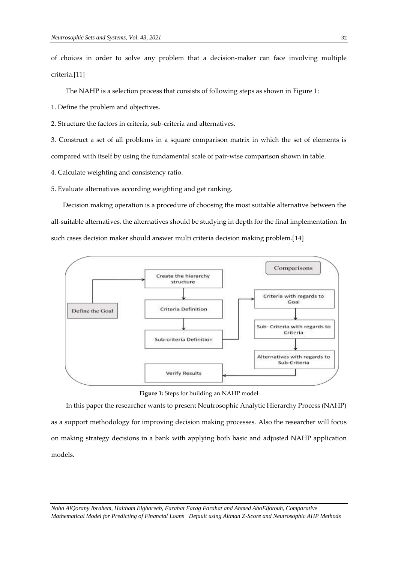of choices in order to solve any problem that a decision-maker can face involving multiple criteria.[11]

The NAHP is a selection process that consists of following steps as shown in Figure 1:

1. Define the problem and objectives.

2. Structure the factors in criteria, sub-criteria and alternatives.

3. Construct a set of all problems in a square comparison matrix in which the set of elements is compared with itself by using the fundamental scale of pair-wise comparison shown in table.

4. Calculate weighting and consistency ratio.

5. Evaluate alternatives according weighting and get ranking.

 Decision making operation is a procedure of choosing the most suitable alternative between the all-suitable alternatives, the alternatives should be studying in depth for the final implementation. In such cases decision maker should answer multi criteria decision making problem.[14]





 In this paper the researcher wants to present Neutrosophic Analytic Hierarchy Process (NAHP) as a support methodology for improving decision making processes. Also the researcher will focus on making strategy decisions in a bank with applying both basic and adjusted NAHP application models.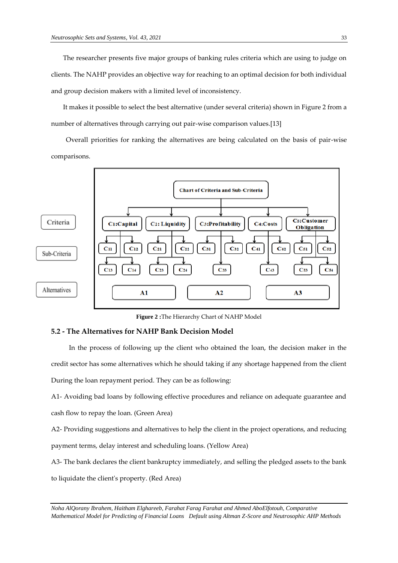The researcher presents five major groups of banking rules criteria which are using to judge on clients. The NAHP provides an objective way for reaching to an optimal decision for both individual and group decision makers with a limited level of inconsistency.

 It makes it possible to select the best alternative (under several criteria) shown in Figure 2 from a number of alternatives through carrying out pair-wise comparison values.[13]

 Overall priorities for ranking the alternatives are being calculated on the basis of pair-wise comparisons.



**Figure 2 :**The Hierarchy Chart of NAHP Model

## **5.2 - The Alternatives for NAHP Bank Decision Model**

 In the process of following up the client who obtained the loan, the decision maker in the credit sector has some alternatives which he should taking if any shortage happened from the client During the loan repayment period. They can be as following:

A1- Avoiding bad loans by following effective procedures and reliance on adequate guarantee and cash flow to repay the loan. (Green Area)

A2- Providing suggestions and alternatives to help the client in the project operations, and reducing payment terms, delay interest and scheduling loans. (Yellow Area)

A3- The bank declares the client bankruptcy immediately, and selling the pledged assets to the bank to liquidate the client's property. (Red Area)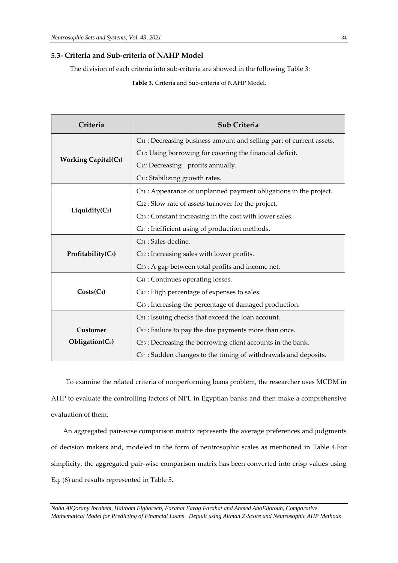## **5.3- Criteria and Sub-criteria of NAHP Model**

The division of each criteria into sub-criteria are showed in the following Table 3:

**Table 3.** Criteria and Sub-criteria of NAHP Model.

| Criteria                    | <b>Sub Criteria</b>                                                              |  |  |  |
|-----------------------------|----------------------------------------------------------------------------------|--|--|--|
|                             | C <sub>11</sub> : Decreasing business amount and selling part of current assets. |  |  |  |
|                             | C12: Using borrowing for covering the financial deficit.                         |  |  |  |
| <b>Working Capital(C1)</b>  | C13: Decreasing profits annually.                                                |  |  |  |
|                             | C <sub>14</sub> : Stabilizing growth rates.                                      |  |  |  |
|                             | C21 : Appearance of unplanned payment obligations in the project.                |  |  |  |
|                             | C <sub>22</sub> : Slow rate of assets turnover for the project.                  |  |  |  |
| Liquidity(C <sub>2</sub> )  | C <sub>23</sub> : Constant increasing in the cost with lower sales.              |  |  |  |
|                             | C <sub>24</sub> : Inefficient using of production methods.                       |  |  |  |
|                             | C <sub>31</sub> : Sales decline.                                                 |  |  |  |
| Profitability $(C_3)$       | C <sub>32</sub> : Increasing sales with lower profits.                           |  |  |  |
|                             | C33 : A gap between total profits and income net.                                |  |  |  |
|                             | C <sub>41</sub> : Continues operating losses.                                    |  |  |  |
| $Costs(C_4)$                | C <sub>42</sub> : High percentage of expenses to sales.                          |  |  |  |
|                             | C <sub>43</sub> : Increasing the percentage of damaged production.               |  |  |  |
|                             | C <sub>51</sub> : Issuing checks that exceed the loan account.                   |  |  |  |
| Customer                    | C <sub>52</sub> : Failure to pay the due payments more than once.                |  |  |  |
| Obligation(C <sub>5</sub> ) | C <sub>53</sub> : Decreasing the borrowing client accounts in the bank.          |  |  |  |
|                             | C <sub>54</sub> : Sudden changes to the timing of withdrawals and deposits.      |  |  |  |

 To examine the related criteria of nonperforming loans problem, the researcher uses MCDM in AHP to evaluate the controlling factors of NPL in Egyptian banks and then make a comprehensive evaluation of them.

 An aggregated pair-wise comparison matrix represents the average preferences and judgments of decision makers and, modeled in the form of neutrosophic scales as mentioned in Table 4.For simplicity, the aggregated pair-wise comparison matrix has been converted into crisp values using Eq. (6) and results represented in Table 5.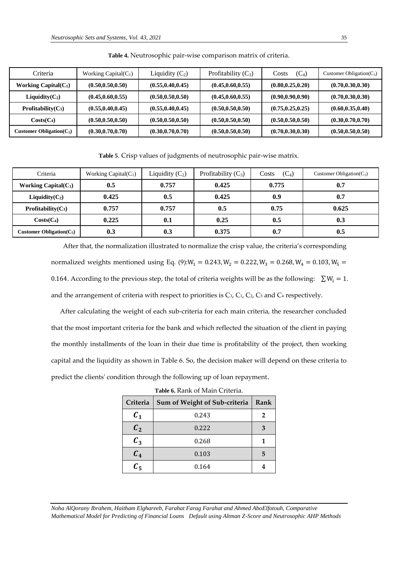| Criteria                     | Working Capital $(C_1)$ | Liquidity $(C_2)$  | Profitability $(C_3)$ | $(C_4)$<br>Costs   | Customer Obligation( $C_5$ ) |
|------------------------------|-------------------------|--------------------|-----------------------|--------------------|------------------------------|
| Working Capital $(C_1)$      | (0.50, 0.50, 0.50)      | (0.55, 0.40, 0.45) | (0.45, 0.60, 0.55)    | (0.80, 0.25, 0.20) | (0.70, 0.30, 0.30)           |
| $Liquality(C2)$              | (0.45, 0.60, 0.55)      | (0.50, 0.50, 0.50) | (0.45, 0.60, 0.55)    | (0.90, 0.90, 0.90) | (0.70, 0.30, 0.30)           |
| <b>Profitability</b> $(C_3)$ | (0.55, 0.40, 0.45)      | (0.55, 0.40, 0.45) | (0.50, 0.50, 0.50)    | (0.75, 0.25, 0.25) | (0.60, 0.35, 0.40)           |
| $Costs(C_4)$                 | (0.50, 0.50, 0.50)      | (0.50, 0.50, 0.50) | (0.50, 0.50, 0.50)    | (0.50, 0.50, 0.50) | (0.30, 0.70, 0.70)           |
| Customer Obligation $(C_5)$  | (0.30, 0.70, 0.70)      | (0.30, 0.70, 0.70) | (0.50, 0.50, 0.50)    | (0.70, 0.30, 0.30) | (0.50, 0.50, 0.50)           |

**Table 4.** Neutrosophic pair-wise comparison matrix of criteria.

**Table 5**. Crisp values of judgments of neutrosophic pair-wise matrix*.*

| Criteria                     | Working Capital $(C_1)$ | Liquidity $(C_2)$ | Profitability $(C_3)$ | $(C_4)$<br>Costs | Customer Obligation( $C_5$ ) |
|------------------------------|-------------------------|-------------------|-----------------------|------------------|------------------------------|
| Working Capital $(C_1)$      | 0.5                     | 0.757             | 0.425                 | 0.775            | 0.7                          |
| $Liquidity(C2)$              | 0.425                   | 0.5               | 0.425                 | 0.9              | 0.7                          |
| $Profitability(C_3)$         | 0.757                   | 0.757             | 0.5                   | 0.75             | 0.625                        |
| $Costs(C_4)$                 | 0.225                   | 0.1               | 0.25                  | 0.5              | 0.3                          |
| Customer Obligation( $C_5$ ) | 0.3                     | 0.3               | 0.375                 | 0.7              | 0.5                          |

 After that, the normalization illustrated to normalize the crisp value, the criteria's corresponding normalized weights mentioned using Eq. (9): $W_1 = 0.243$ ,  $W_2 = 0.222$ ,  $W_3 = 0.268$ ,  $W_4 = 0.103$ ,  $W_5 =$ 0.164. According to the previous step, the total of criteria weights will be as the following:  $\sum W_i = 1$ . and the arrangement of criteria with respect to priorities is  $C_3$ ,  $C_1$ ,  $C_2$ ,  $C_5$  and  $C_4$  respectively.

 After calculating the weight of each sub-criteria for each main criteria, the researcher concluded that the most important criteria for the bank and which reflected the situation of the client in paying the monthly installments of the loan in their due time is profitability of the project, then working capital and the liquidity as shown in Table 6. So, the decision maker will depend on these criteria to predict the clients' condition through the following up of loan repayment.

| Criteria         | Sum of Weight of Sub-criteria | Rank |
|------------------|-------------------------------|------|
| ${\mathcal C}_1$ | 0.243                         |      |
| C <sub>2</sub>   | 0.222                         | 3    |
| $C_3$            | 0.268                         |      |
| $C_4$            | 0.103                         |      |
| $C_5$            | 0.164                         |      |

**Table 6.** Rank of Main Criteria.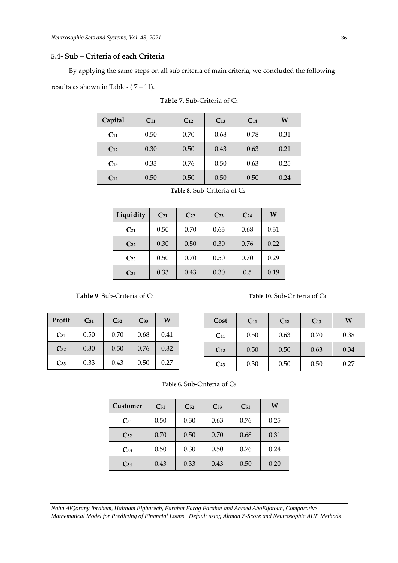## **5.4- Sub – Criteria of each Criteria**

By applying the same steps on all sub criteria of main criteria, we concluded the following

results as shown in Tables ( $7 - 11$ ).

| Capital  | $C_{11}$ | $C_{12}$ | $C_{13}$ | C <sub>14</sub> | W    |
|----------|----------|----------|----------|-----------------|------|
| $C_{11}$ | 0.50     | 0.70     | 0.68     | 0.78            | 0.31 |
| $C_{12}$ | 0.30     | 0.50     | 0.43     | 0.63            | 0.21 |
| $C_{13}$ | 0.33     | 0.76     | 0.50     | 0.63            | 0.25 |
| $C_{14}$ | 0.50     | 0.50     | 0.50     | 0.50            | 0.24 |

|  |  | Table 7. Sub-Criteria of C1 |  |
|--|--|-----------------------------|--|
|--|--|-----------------------------|--|

| Liquidity       | $C_{21}$ | $C_{22}$ | $C_{23}$ | C <sub>24</sub> | W    |
|-----------------|----------|----------|----------|-----------------|------|
| $C_{21}$        | 0.50     | 0.70     | 0.63     | 0.68            | 0.31 |
| $C_{22}$        | 0.30     | 0.50     | 0.30     | 0.76            | 0.22 |
| $C_{23}$        | 0.50     | 0.70     | 0.50     | 0.70            | 0.29 |
| C <sub>24</sub> | 0.33     | 0.43     | 0.30     | 0.5             | 0.19 |

**Table 9**. Sub-Criteria of C<sub>3</sub> **Table 10.** Sub-Criteria of C<sub>4</sub>

| Profit   | $C_{31}$ | $C_{32}$ | $C_{33}$ | W    |
|----------|----------|----------|----------|------|
| $C_{31}$ | 0.50     | 0.70     | 0.68     | 0.41 |
| $C_{32}$ | 0.30     | 0.50     | 0.76     | 0.32 |
| $C_{33}$ | 0.33     | 0.43     | 0.50     | 0.27 |

| Cost     | $C_{41}$ | $C_{42}$ | $C_{43}$ | W    |
|----------|----------|----------|----------|------|
| $C_{41}$ | 0.50     | 0.63     | 0.70     | 0.38 |
| $C_{42}$ | 0.50     | 0.50     | 0.63     | 0.34 |
| $C_{43}$ | 0.30     | 0.50     | 0.50     | 0.27 |

| <b>Customer</b> | $C_{51}$ | $C_{52}$ | $C_{53}$ | $C_{51}$ | W    |
|-----------------|----------|----------|----------|----------|------|
| $C_{51}$        | 0.50     | 0.30     | 0.63     | 0.76     | 0.25 |
| $C_{52}$        | 0.70     | 0.50     | 0.70     | 0.68     | 0.31 |
| $C_{53}$        | 0.50     | 0.30     | 0.50     | 0.76     | 0.24 |
| $C_{54}$        | 0.43     | 0.33     | 0.43     | 0.50     | 0.20 |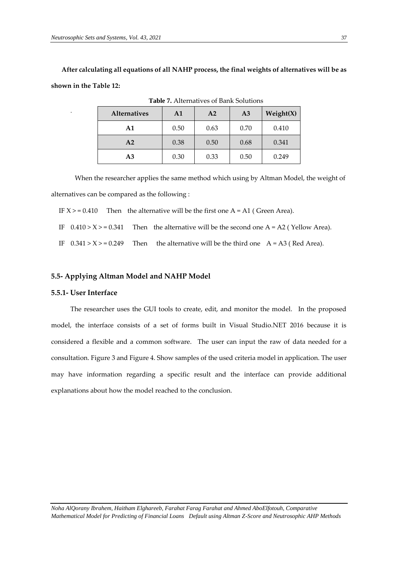**After calculating all equations of all NAHP process, the final weights of alternatives will be as shown in the Table 12:**

| <b>Alternatives</b> | $\mathbf{A1}$ | A <sub>2</sub> | A <sub>3</sub> | Weight(X) |
|---------------------|---------------|----------------|----------------|-----------|
| A1                  | 0.50          | 0.63           | 0.70           | 0.410     |
| A <sub>2</sub>      | 0.38          | 0.50           | 0.68           | 0.341     |
| A3                  | 0.30          | 0.33           | 0.50           | 0.249     |

**Table 7.** Alternatives of Bank Solutions

When the researcher applies the same method which using by Altman Model, the weight of alternatives can be compared as the following :

IF  $X > = 0.410$  Then the alternative will be the first one A = A1 ( Green Area).

IF  $0.410 > X > = 0.341$  Then the alternative will be the second one A = A2 (Yellow Area).

IF  $0.341 > X > = 0.249$  Then the alternative will be the third one  $A = A3$  (Red Area).

## **5.5- Applying Altman Model and NAHP Model**

#### **5.5.1- User Interface**

.

 The researcher uses the GUI tools to create, edit, and monitor the model. In the proposed model, the interface consists of a set of forms built in Visual Studio.NET 2016 because it is considered a flexible and a common software. The user can input the raw of data needed for a consultation. Figure 3 and Figure 4. Show samples of the used criteria model in application. The user may have information regarding a specific result and the interface can provide additional explanations about how the model reached to the conclusion.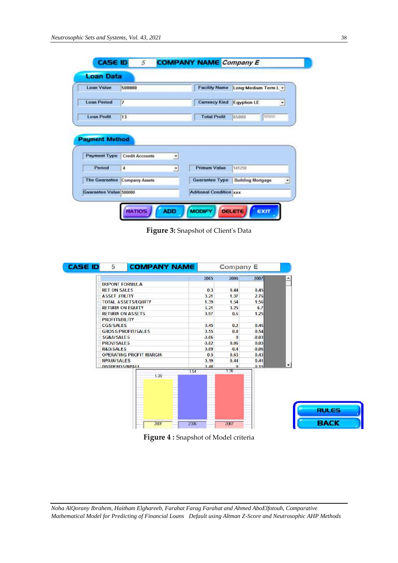| <b>Loan Value</b>     | 500000                        | <b>Facility Name</b>  | Long-Medium Term L +     |   |
|-----------------------|-------------------------------|-----------------------|--------------------------|---|
|                       |                               |                       |                          |   |
| <b>Loan Period</b>    | $\overline{\mathbf{r}}$       | <b>Currency Kind</b>  | <b>Egyption LE</b>       |   |
| <b>Loan Profit</b>    | 13                            | <b>Total Profit</b>   | 465000<br>65000          |   |
| <b>Payment Method</b> |                               |                       |                          |   |
| <b>Payment Type</b>   | <b>Credit Accounts</b><br>≛   |                       |                          |   |
| Period                | 4<br>$\overline{\phantom{a}}$ | <b>Primum Value</b>   | 141250                   |   |
|                       | The Guarantee Company Assets  | <b>Guarantee Type</b> | <b>Building Mortgage</b> | ٠ |

**Figure 3:** Snapshot of Client's Data

| <b>CASE ID</b> | 5                       | <b>COMPANY NAME</b>            |                 | Company E            |         |   |
|----------------|-------------------------|--------------------------------|-----------------|----------------------|---------|---|
|                |                         |                                | 2005            | 2006                 | 2007    | ٠ |
|                | <b>DUPONT FORMULA</b>   |                                |                 |                      |         |   |
|                | <b>RET ON SALES</b>     |                                | 0.3             | 0.44                 | 0.45    |   |
|                | <b>ASSET UTILITY</b>    |                                | 3.21            | 1.37                 | 2.76    |   |
|                |                         | <b>TOTAL ASSETS/EQUITY</b>     | 1.39            | 1.54                 | 1.56    |   |
|                | <b>RETURN ON EQUITY</b> |                                | 6.21            | 3.25                 | 6.7     |   |
|                | <b>RETURN ON ASSETS</b> |                                | 0.97            | 0.6                  | 1.25    |   |
|                | <b>PROFITABILITY</b>    |                                |                 |                      |         |   |
|                | <b>CGS/SALES</b>        |                                | 0.45            | 0.2                  | 0.46    |   |
|                |                         | <b>GROSS PROFIT/SALES</b>      | 0.55            | 0.8                  | 0.54    |   |
|                | <b>SG&amp;A/SALES</b>   |                                | $-0.06$         | $\theta$             | $-0.03$ |   |
|                | <b>PROV/SALES</b>       |                                | $-0.02$         | 0.06                 | 0.03    |   |
|                | <b>R&amp;D/SALES</b>    |                                | 0.09            | $-0.4$               | $-0.06$ |   |
|                |                         | <b>OPERATING PROFIT MARGIN</b> | 0.5             | 0.63                 | 0.43    |   |
|                | <b>NPAUL/SALES</b>      |                                | 0.19            | 0.44                 | 0.41    | ۰ |
|                | <b>DIVIDENDS/NPALL</b>  |                                | 0 <sub>AB</sub> | $\mathbf{a}$<br>1.56 | 0.15    |   |
|                |                         | 1.39                           | 1.54            |                      |         |   |
|                |                         |                                |                 |                      |         |   |
|                |                         | 2005                           | 2006            | 2007                 |         |   |

**Figure 4 :** Snapshot of Model criteria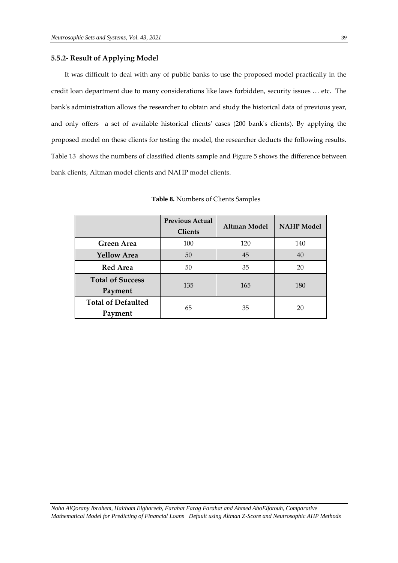## **5.5.2- Result of Applying Model**

 It was difficult to deal with any of public banks to use the proposed model practically in the credit loan department due to many considerations like laws forbidden, security issues … etc. The bank's administration allows the researcher to obtain and study the historical data of previous year, and only offers a set of available historical clients' cases (200 bank's clients). By applying the proposed model on these clients for testing the model, the researcher deducts the following results. Table 13 shows the numbers of classified clients sample and Figure 5 shows the difference between bank clients, Altman model clients and NAHP model clients.

|                                      | <b>Previous Actual</b><br><b>Clients</b> | Altman Model | <b>NAHP</b> Model |  |
|--------------------------------------|------------------------------------------|--------------|-------------------|--|
| <b>Green Area</b>                    | 100                                      | 120          | 140               |  |
| <b>Yellow Area</b>                   | 50                                       | 45           | 40                |  |
| <b>Red Area</b>                      | 50                                       | 35           | 20                |  |
| <b>Total of Success</b><br>Payment   | 135                                      | 165          | 180               |  |
| <b>Total of Defaulted</b><br>Payment | 65                                       | 35           | 20                |  |

**Table 8.** Numbers of Clients Samples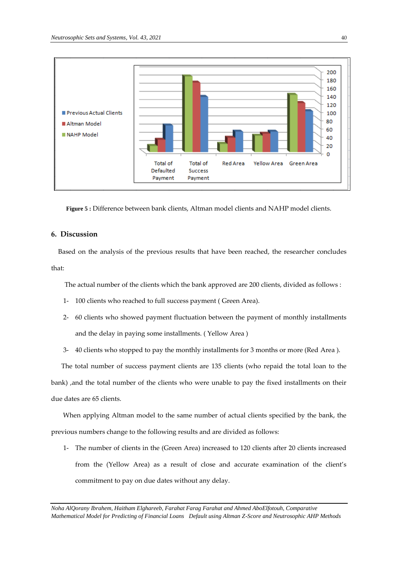

**Figure 5 :** Difference between bank clients, Altman model clients and NAHP model clients.

# **6. Discussion**

Based on the analysis of the previous results that have been reached, the researcher concludes that:

The actual number of the clients which the bank approved are 200 clients, divided as follows :

- 1- 100 clients who reached to full success payment ( Green Area).
- 2- 60 clients who showed payment fluctuation between the payment of monthly installments and the delay in paying some installments. ( Yellow Area )
- 3- 40 clients who stopped to pay the monthly installments for 3 months or more (Red Area ).

 The total number of success payment clients are 135 clients (who repaid the total loan to the bank) ,and the total number of the clients who were unable to pay the fixed installments on their due dates are 65 clients.

 When applying Altman model to the same number of actual clients specified by the bank, the previous numbers change to the following results and are divided as follows:

1- The number of clients in the (Green Area) increased to 120 clients after 20 clients increased from the (Yellow Area) as a result of close and accurate examination of the client's commitment to pay on due dates without any delay.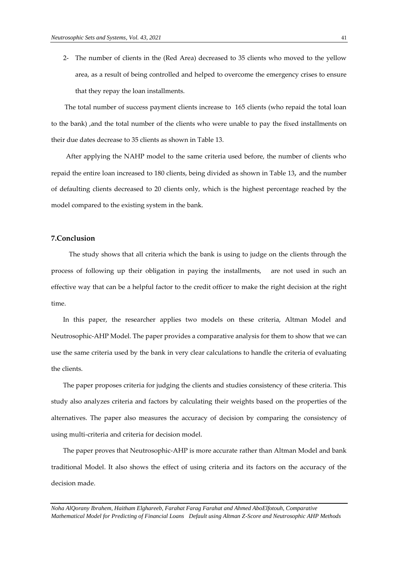2- The number of clients in the (Red Area) decreased to 35 clients who moved to the yellow area, as a result of being controlled and helped to overcome the emergency crises to ensure that they repay the loan installments.

 The total number of success payment clients increase to 165 clients (who repaid the total loan to the bank) ,and the total number of the clients who were unable to pay the fixed installments on their due dates decrease to 35 clients as shown in Table 13.

 After applying the NAHP model to the same criteria used before, the number of clients who repaid the entire loan increased to 180 clients, being divided as shown in Table 13, and the number of defaulting clients decreased to 20 clients only, which is the highest percentage reached by the model compared to the existing system in the bank.

## **7.Conclusion**

 The study shows that all criteria which the bank is using to judge on the clients through the process of following up their obligation in paying the installments, are not used in such an effective way that can be a helpful factor to the credit officer to make the right decision at the right time.

 In this paper, the researcher applies two models on these criteria, Altman Model and Neutrosophic-AHP Model. The paper provides a comparative analysis for them to show that we can use the same criteria used by the bank in very clear calculations to handle the criteria of evaluating the clients.

 The paper proposes criteria for judging the clients and studies consistency of these criteria. This study also analyzes criteria and factors by calculating their weights based on the properties of the alternatives. The paper also measures the accuracy of decision by comparing the consistency of using multi-criteria and criteria for decision model.

 The paper proves that Neutrosophic-AHP is more accurate rather than Altman Model and bank traditional Model. It also shows the effect of using criteria and its factors on the accuracy of the decision made.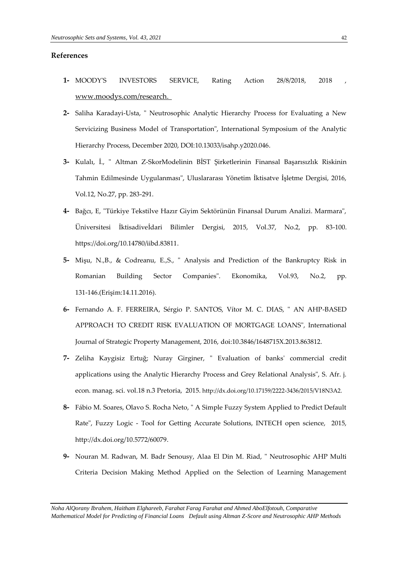#### **References**

- **1-** MOODY'S INVESTORS SERVICE, Rating Action 28/8/2018, 2018 , [www.moodys.com/research.](http://www.moodys.com/research.)
- **2-** [Saliha Karadayi-Usta,](https://www.researchgate.net/profile/Saliha-Karadayi-Usta) " Neutrosophic Analytic Hierarchy Process for Evaluating a New Servicizing Business Model of Transportation", International Symposium of the Analytic Hierarchy Process, December 2020, DOI[:10.13033/isahp.y2020.046.](http://dx.doi.org/10.13033/isahp.y2020.046)
- **3-** Kulalı, İ., " Altman Z-SkorModelinin BİST Şirketlerinin Finansal Başarısızlık Riskinin Tahmin Edilmesinde Uygulanması", Uluslararası Yönetim İktisatve İşletme Dergisi, 2016, Vol.12, No.27, pp. 283-291.
- **4-** Bağcı, E, "Türkiye Tekstilve Hazır Giyim Sektörünün Finansal Durum Analizi. Marmara", Üniversitesi İktisadiveİdari Bilimler Dergisi, 2015, Vol.37, No.2, pp. 83-100. [https://doi.org/10.14780/iibd.83811.](https://doi.org/10.14780/iibd.83811)
- **5-** Mişu, N.,B., & Codreanu, E.,S., " Analysis and Prediction of the Bankruptcy Risk in Romanian Building Sector Companies". Ekonomika, Vol.93, No.2, pp. 131-146.(Erişim:14.11.2016).
- **6-** Fernando A. F. FERREIRA, Sérgio P. SANTOS, Vítor M. C. DIAS, " AN AHP-BASED APPROACH TO CREDIT RISK EVALUATION OF MORTGAGE LOANS", International Journal of Strategic Property Management, 2016, doi:10.3846/1648715X.2013.863812.
- **7-** Zeliha Kaygisiz Ertuğ; Nuray Girginer, " Evaluation of banks' commercial credit applications using the Analytic Hierarchy Process and Grey Relational Analysis", S. Afr. j. econ. manag. sci. vol.18 n.3 Pretoria, 2015. [http://dx.doi.org/10.17159/2222-3436/2015/V18N3A2.](http://dx.doi.org/10.17159/2222-3436/2015/V18N3A2)
- **8-** Fábio M. Soares, Olavo S. Rocha Neto, " A Simple Fuzzy System Applied to Predict Default Rate", Fuzzy Logic - Tool for Getting Accurate Solutions, INTECH open science, 2015, [http://dx.doi.org/10.5772/60079.](http://dx.doi.org/10.5772/60079)
- **9-** Nouran M. Radwan, M. Badr Senousy, Alaa El Din M. Riad, " Neutrosophic AHP Multi Criteria Decision Making Method Applied on the Selection of Learning Management